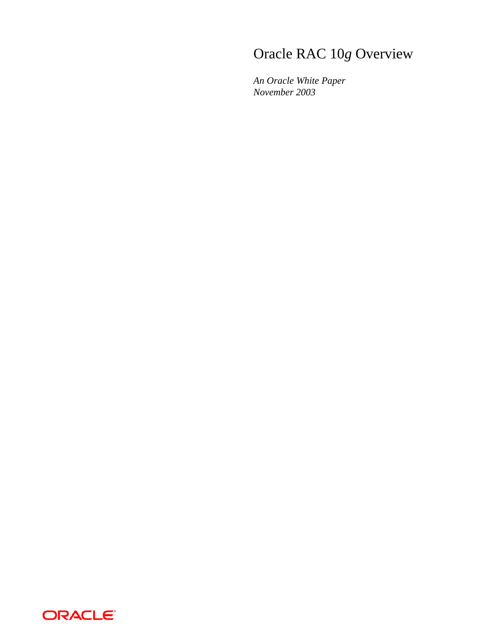# Oracle RAC 10*g* Overview

*An Oracle White Paper November 2003* 

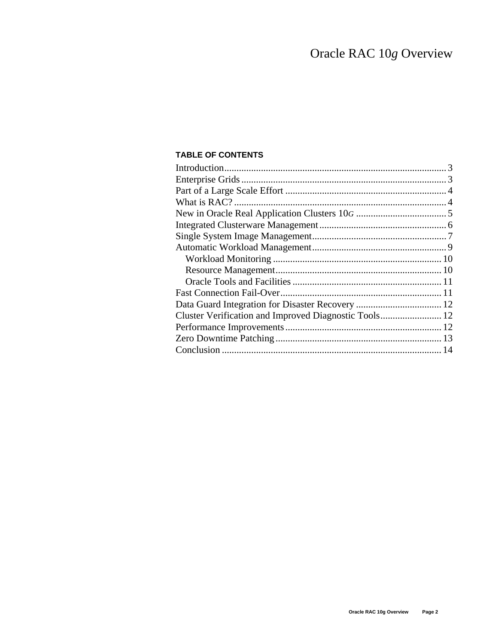# **TABLE OF CONTENTS**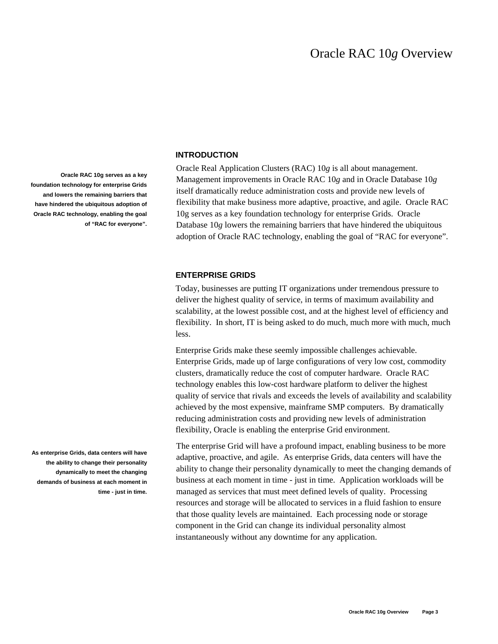#### **INTRODUCTION**

Oracle Real Application Clusters (RAC) 10*g* is all about management. Management improvements in Oracle RAC 10*g* and in Oracle Database 10*g* itself dramatically reduce administration costs and provide new levels of flexibility that make business more adaptive, proactive, and agile. Oracle RAC 10g serves as a key foundation technology for enterprise Grids. Oracle Database 10*g* lowers the remaining barriers that have hindered the ubiquitous adoption of Oracle RAC technology, enabling the goal of "RAC for everyone".

#### **ENTERPRISE GRIDS**

Today, businesses are putting IT organizations under tremendous pressure to deliver the highest quality of service, in terms of maximum availability and scalability, at the lowest possible cost, and at the highest level of efficiency and flexibility. In short, IT is being asked to do much, much more with much, much less.

Enterprise Grids make these seemly impossible challenges achievable. Enterprise Grids, made up of large configurations of very low cost, commodity clusters, dramatically reduce the cost of computer hardware. Oracle RAC technology enables this low-cost hardware platform to deliver the highest quality of service that rivals and exceeds the levels of availability and scalability achieved by the most expensive, mainframe SMP computers. By dramatically reducing administration costs and providing new levels of administration flexibility, Oracle is enabling the enterprise Grid environment.

The enterprise Grid will have a profound impact, enabling business to be more adaptive, proactive, and agile. As enterprise Grids, data centers will have the ability to change their personality dynamically to meet the changing demands of business at each moment in time - just in time. Application workloads will be managed as services that must meet defined levels of quality. Processing resources and storage will be allocated to services in a fluid fashion to ensure that those quality levels are maintained. Each processing node or storage component in the Grid can change its individual personality almost instantaneously without any downtime for any application.

**Oracle RAC 10g serves as a key foundation technology for enterprise Grids and lowers the remaining barriers that have hindered the ubiquitous adoption of Oracle RAC technology, enabling the goal of "RAC for everyone".** 

**As enterprise Grids, data centers will have the ability to change their personality dynamically to meet the changing demands of business at each moment in time - just in time.**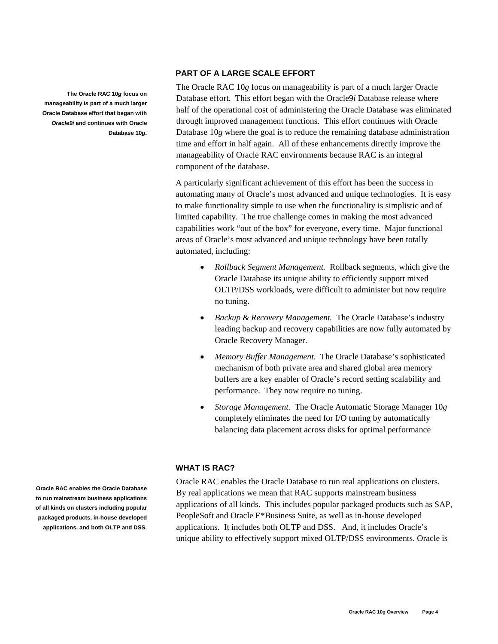#### **PART OF A LARGE SCALE EFFORT**

The Oracle RAC 10*g* focus on manageability is part of a much larger Oracle Database effort. This effort began with the Oracle9*i* Database release where half of the operational cost of administering the Oracle Database was eliminated through improved management functions. This effort continues with Oracle Database 10*g* where the goal is to reduce the remaining database administration time and effort in half again. All of these enhancements directly improve the manageability of Oracle RAC environments because RAC is an integral component of the database.

A particularly significant achievement of this effort has been the success in automating many of Oracle's most advanced and unique technologies. It is easy to make functionality simple to use when the functionality is simplistic and of limited capability. The true challenge comes in making the most advanced capabilities work "out of the box" for everyone, every time. Major functional areas of Oracle's most advanced and unique technology have been totally automated, including:

- *Rollback Segment Management.* Rollback segments, which give the Oracle Database its unique ability to efficiently support mixed OLTP/DSS workloads, were difficult to administer but now require no tuning.
- *Backup & Recovery Management.* The Oracle Database's industry leading backup and recovery capabilities are now fully automated by Oracle Recovery Manager.
- *Memory Buffer Management.* The Oracle Database's sophisticated mechanism of both private area and shared global area memory buffers are a key enabler of Oracle's record setting scalability and performance. They now require no tuning.
- *Storage Management.* The Oracle Automatic Storage Manager 10*g* completely eliminates the need for I/O tuning by automatically balancing data placement across disks for optimal performance

#### **WHAT IS RAC?**

Oracle RAC enables the Oracle Database to run real applications on clusters. By real applications we mean that RAC supports mainstream business applications of all kinds. This includes popular packaged products such as SAP, PeopleSoft and Oracle E\*Business Suite, as well as in-house developed applications. It includes both OLTP and DSS. And, it includes Oracle's unique ability to effectively support mixed OLTP/DSS environments. Oracle is

**Oracle RAC enables the Oracle Database to run mainstream business applications of all kinds on clusters including popular packaged products, in-house developed applications, and both OLTP and DSS.**

**The Oracle RAC 10***g* **focus on manageability is part of a much larger Oracle Database effort that began with**  *Oracle9i* **and continues with Oracle** 

**Database 10***g***.**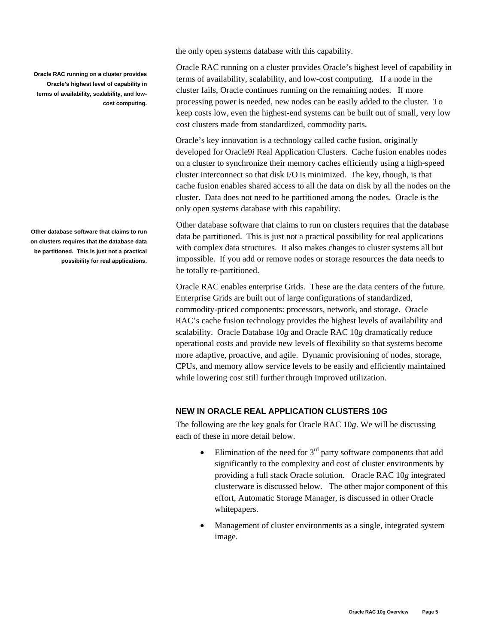**Oracle RAC running on a cluster provides Oracle's highest level of capability in terms of availability, scalability, and lowcost computing.** 

**Other database software that claims to run on clusters requires that the database data be partitioned. This is just not a practical possibility for real applications.**  the only open systems database with this capability.

Oracle RAC running on a cluster provides Oracle's highest level of capability in terms of availability, scalability, and low-cost computing. If a node in the cluster fails, Oracle continues running on the remaining nodes. If more processing power is needed, new nodes can be easily added to the cluster. To keep costs low, even the highest-end systems can be built out of small, very low cost clusters made from standardized, commodity parts.

Oracle's key innovation is a technology called cache fusion, originally developed for Oracle9*i* Real Application Clusters. Cache fusion enables nodes on a cluster to synchronize their memory caches efficiently using a high-speed cluster interconnect so that disk I/O is minimized. The key, though, is that cache fusion enables shared access to all the data on disk by all the nodes on the cluster. Data does not need to be partitioned among the nodes. Oracle is the only open systems database with this capability.

Other database software that claims to run on clusters requires that the database data be partitioned. This is just not a practical possibility for real applications with complex data structures. It also makes changes to cluster systems all but impossible. If you add or remove nodes or storage resources the data needs to be totally re-partitioned.

Oracle RAC enables enterprise Grids. These are the data centers of the future. Enterprise Grids are built out of large configurations of standardized, commodity-priced components: processors, network, and storage. Oracle RAC's cache fusion technology provides the highest levels of availability and scalability. Oracle Database 10*g* and Oracle RAC 10*g* dramatically reduce operational costs and provide new levels of flexibility so that systems become more adaptive, proactive, and agile. Dynamic provisioning of nodes, storage, CPUs, and memory allow service levels to be easily and efficiently maintained while lowering cost still further through improved utilization.

# **NEW IN ORACLE REAL APPLICATION CLUSTERS 10***G*

The following are the key goals for Oracle RAC 10*g*. We will be discussing each of these in more detail below.

- Elimination of the need for  $3<sup>rd</sup>$  party software components that add significantly to the complexity and cost of cluster environments by providing a full stack Oracle solution. Oracle RAC 10*g* integrated clusterware is discussed below. The other major component of this effort, Automatic Storage Manager, is discussed in other Oracle whitepapers.
- Management of cluster environments as a single, integrated system image.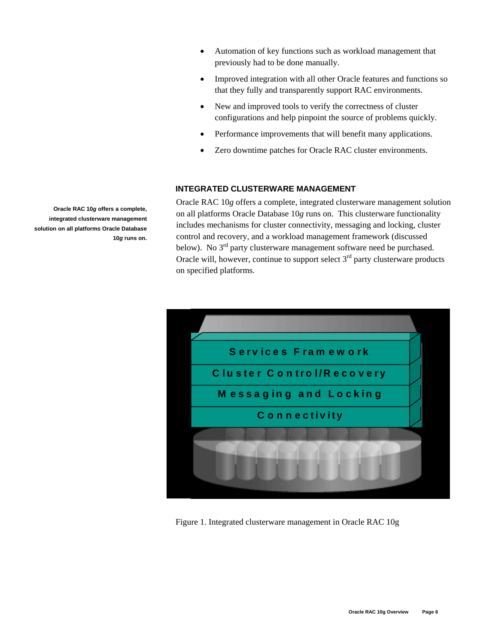- Automation of key functions such as workload management that previously had to be done manually.
- Improved integration with all other Oracle features and functions so that they fully and transparently support RAC environments.
- New and improved tools to verify the correctness of cluster configurations and help pinpoint the source of problems quickly.
- Performance improvements that will benefit many applications.
- Zero downtime patches for Oracle RAC cluster environments.

# **INTEGRATED CLUSTERWARE MANAGEMENT**

Oracle RAC 10*g* offers a complete, integrated clusterware management solution on all platforms Oracle Database 10*g* runs on. This clusterware functionality includes mechanisms for cluster connectivity, messaging and locking, cluster control and recovery, and a workload management framework (discussed below). No 3<sup>rd</sup> party clusterware management software need be purchased. Oracle will, however, continue to support select  $3<sup>rd</sup>$  party clusterware products on specified platforms.



Figure 1. Integrated clusterware management in Oracle RAC 10g

**Oracle RAC 10***g* **offers a complete, integrated clusterware management solution on all platforms Oracle Database 10***g* **runs on.**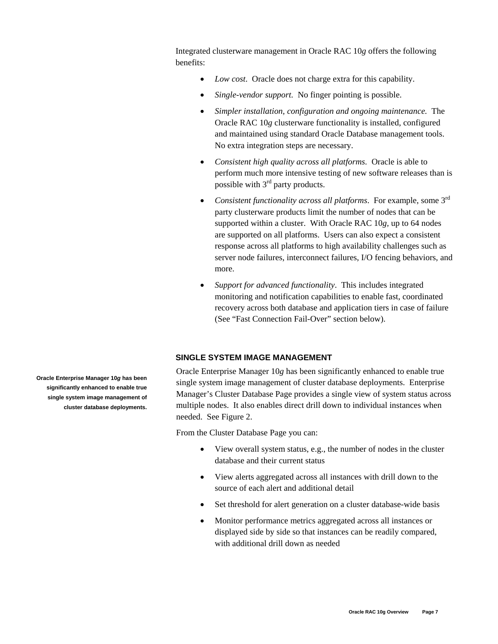Integrated clusterware management in Oracle RAC 10*g* offers the following benefits:

- *Low cost.* Oracle does not charge extra for this capability.
- *Single-vendor support.* No finger pointing is possible.
- *Simpler installation, configuration and ongoing maintenance.* The Oracle RAC 10*g* clusterware functionality is installed, configured and maintained using standard Oracle Database management tools. No extra integration steps are necessary.
- *Consistent high quality across all platforms.* Oracle is able to perform much more intensive testing of new software releases than is possible with 3rd party products.
- *Consistent functionality across all platforms*. For example, some 3rd party clusterware products limit the number of nodes that can be supported within a cluster. With Oracle RAC 10*g,* up to 64 nodes are supported on all platforms. Users can also expect a consistent response across all platforms to high availability challenges such as server node failures, interconnect failures, I/O fencing behaviors, and more.
- *Support for advanced functionality*. This includes integrated monitoring and notification capabilities to enable fast, coordinated recovery across both database and application tiers in case of failure (See "Fast Connection Fail-Over" section below).

# **SINGLE SYSTEM IMAGE MANAGEMENT**

Oracle Enterprise Manager 10*g* has been significantly enhanced to enable true single system image management of cluster database deployments. Enterprise Manager's Cluster Database Page provides a single view of system status across multiple nodes. It also enables direct drill down to individual instances when needed. See Figure 2.

From the Cluster Database Page you can:

- View overall system status, e.g., the number of nodes in the cluster database and their current status
- View alerts aggregated across all instances with drill down to the source of each alert and additional detail
- Set threshold for alert generation on a cluster database-wide basis
- Monitor performance metrics aggregated across all instances or displayed side by side so that instances can be readily compared, with additional drill down as needed

**Oracle Enterprise Manager 10***g* **has been significantly enhanced to enable true single system image management of cluster database deployments.**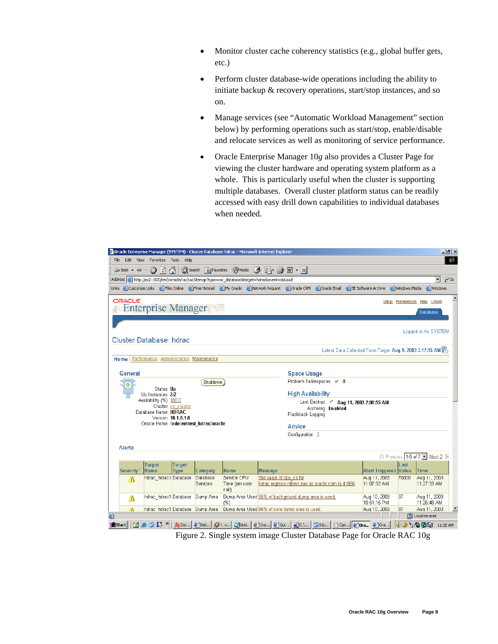- Monitor cluster cache coherency statistics (e.g., global buffer gets, etc.)
- Perform cluster database-wide operations including the ability to initiate backup & recovery operations, start/stop instances, and so on.
- Manage services (see "Automatic Workload Management" section below) by performing operations such as start/stop, enable/disable and relocate services as well as monitoring of service performance.
- Oracle Enterprise Manager 10*g* also provides a Cluster Page for viewing the cluster hardware and operating system platform as a whole. This is particularly useful when the cluster is supporting multiple databases. Overall cluster platform status can be readily accessed with easy drill down capabilities to individual databases when needed.



Figure 2. Single system image Cluster Database Page for Oracle RAC 10g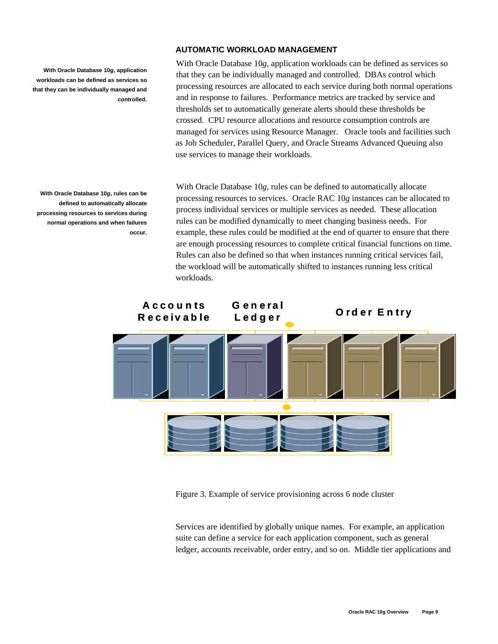**With Oracle Database 10***g***, application workloads can be defined as services so that they can be individually managed and controlled.**

**With Oracle Database 10***g***, rules can be defined to automatically allocate processing resources to services during normal operations and when failures occur.** 

#### **AUTOMATIC WORKLOAD MANAGEMENT**

With Oracle Database 10*g*, application workloads can be defined as services so that they can be individually managed and controlled. DBAs control which processing resources are allocated to each service during both normal operations and in response to failures. Performance metrics are tracked by service and thresholds set to automatically generate alerts should these thresholds be crossed. CPU resource allocations and resource consumption controls are managed for services using Resource Manager. Oracle tools and facilities such as Job Scheduler, Parallel Query, and Oracle Streams Advanced Queuing also use services to manage their workloads.

With Oracle Database 10*g*, rules can be defined to automatically allocate processing resources to services. Oracle RAC 10*g* instances can be allocated to process individual services or multiple services as needed. These allocation rules can be modified dynamically to meet changing business needs. For example, these rules could be modified at the end of quarter to ensure that there are enough processing resources to complete critical financial functions on time. Rules can also be defined so that when instances running critical services fail, the workload will be automatically shifted to instances running less critical workloads.



Figure 3. Example of service provisioning across 6 node cluster

Services are identified by globally unique names. For example, an application suite can define a service for each application component, such as general ledger, accounts receivable, order entry, and so on. Middle tier applications and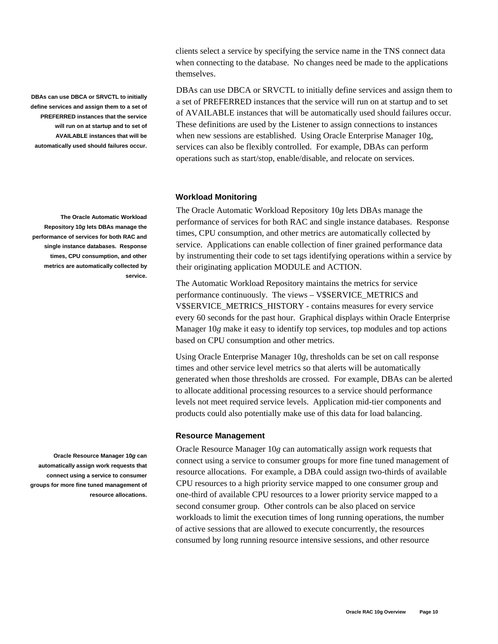clients select a service by specifying the service name in the TNS connect data when connecting to the database. No changes need be made to the applications themselves.

DBAs can use DBCA or SRVCTL to initially define services and assign them to a set of PREFERRED instances that the service will run on at startup and to set of AVAILABLE instances that will be automatically used should failures occur. These definitions are used by the Listener to assign connections to instances when new sessions are established. Using Oracle Enterprise Manager 10g, services can also be flexibly controlled. For example, DBAs can perform operations such as start/stop, enable/disable, and relocate on services.

#### **Workload Monitoring**

The Oracle Automatic Workload Repository 10*g* lets DBAs manage the performance of services for both RAC and single instance databases. Response times, CPU consumption, and other metrics are automatically collected by service. Applications can enable collection of finer grained performance data by instrumenting their code to set tags identifying operations within a service by their originating application MODULE and ACTION.

The Automatic Workload Repository maintains the metrics for service performance continuously. The views – V\$SERVICE\_METRICS and V\$SERVICE\_METRICS\_HISTORY - contains measures for every service every 60 seconds for the past hour. Graphical displays within Oracle Enterprise Manager 10*g* make it easy to identify top services, top modules and top actions based on CPU consumption and other metrics.

Using Oracle Enterprise Manager 10*g*, thresholds can be set on call response times and other service level metrics so that alerts will be automatically generated when those thresholds are crossed. For example, DBAs can be alerted to allocate additional processing resources to a service should performance levels not meet required service levels. Application mid-tier components and products could also potentially make use of this data for load balancing.

#### **Resource Management**

Oracle Resource Manager 10*g* can automatically assign work requests that connect using a service to consumer groups for more fine tuned management of resource allocations. For example, a DBA could assign two-thirds of available CPU resources to a high priority service mapped to one consumer group and one-third of available CPU resources to a lower priority service mapped to a second consumer group. Other controls can be also placed on service workloads to limit the execution times of long running operations, the number of active sessions that are allowed to execute concurrently, the resources consumed by long running resource intensive sessions, and other resource

**DBAs can use DBCA or SRVCTL to initially define services and assign them to a set of PREFERRED instances that the service will run on at startup and to set of AVAILABLE instances that will be automatically used should failures occur.**

**The Oracle Automatic Workload Repository 10***g* **lets DBAs manage the performance of services for both RAC and single instance databases. Response times, CPU consumption, and other metrics are automatically collected by service.** 

**Oracle Resource Manager 10***g* **can automatically assign work requests that connect using a service to consumer groups for more fine tuned management of resource allocations.**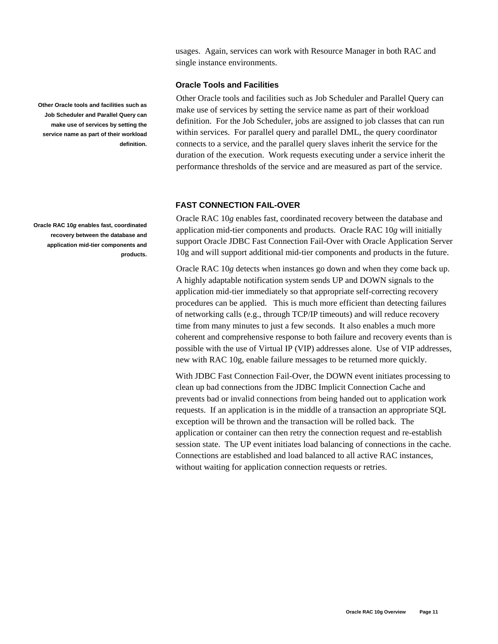usages. Again, services can work with Resource Manager in both RAC and single instance environments.

# **Oracle Tools and Facilities**

Other Oracle tools and facilities such as Job Scheduler and Parallel Query can make use of services by setting the service name as part of their workload definition. For the Job Scheduler, jobs are assigned to job classes that can run within services. For parallel query and parallel DML, the query coordinator connects to a service, and the parallel query slaves inherit the service for the duration of the execution. Work requests executing under a service inherit the performance thresholds of the service and are measured as part of the service.

#### **FAST CONNECTION FAIL-OVER**

Oracle RAC 10*g* enables fast, coordinated recovery between the database and application mid-tier components and products. Oracle RAC 10*g* will initially support Oracle JDBC Fast Connection Fail-Over with Oracle Application Server 10g and will support additional mid-tier components and products in the future.

Oracle RAC 10*g* detects when instances go down and when they come back up. A highly adaptable notification system sends UP and DOWN signals to the application mid-tier immediately so that appropriate self-correcting recovery procedures can be applied. This is much more efficient than detecting failures of networking calls (e.g., through TCP/IP timeouts) and will reduce recovery time from many minutes to just a few seconds. It also enables a much more coherent and comprehensive response to both failure and recovery events than is possible with the use of Virtual IP (VIP) addresses alone. Use of VIP addresses, new with RAC 10g, enable failure messages to be returned more quickly.

With JDBC Fast Connection Fail-Over, the DOWN event initiates processing to clean up bad connections from the JDBC Implicit Connection Cache and prevents bad or invalid connections from being handed out to application work requests. If an application is in the middle of a transaction an appropriate SQL exception will be thrown and the transaction will be rolled back. The application or container can then retry the connection request and re-establish session state. The UP event initiates load balancing of connections in the cache. Connections are established and load balanced to all active RAC instances, without waiting for application connection requests or retries.

**Other Oracle tools and facilities such as Job Scheduler and Parallel Query can make use of services by setting the service name as part of their workload definition.**

**Oracle RAC 10***g* **enables fast, coordinated recovery between the database and application mid-tier components and products.**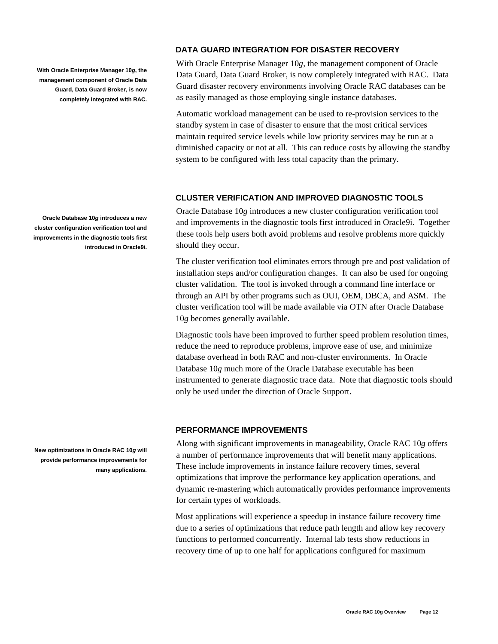**With Oracle Enterprise Manager 10***g***, the management component of Oracle Data Guard, Data Guard Broker, is now completely integrated with RAC.**

**Oracle Database 10***g* **introduces a new cluster configuration verification tool and improvements in the diagnostic tools first introduced in Oracle9i.** 

**New optimizations in Oracle RAC 10***g* **will provide performance improvements for many applications.**

# **DATA GUARD INTEGRATION FOR DISASTER RECOVERY**

With Oracle Enterprise Manager 10*g*, the management component of Oracle Data Guard, Data Guard Broker, is now completely integrated with RAC. Data Guard disaster recovery environments involving Oracle RAC databases can be as easily managed as those employing single instance databases.

Automatic workload management can be used to re-provision services to the standby system in case of disaster to ensure that the most critical services maintain required service levels while low priority services may be run at a diminished capacity or not at all. This can reduce costs by allowing the standby system to be configured with less total capacity than the primary.

## **CLUSTER VERIFICATION AND IMPROVED DIAGNOSTIC TOOLS**

Oracle Database 10*g* introduces a new cluster configuration verification tool and improvements in the diagnostic tools first introduced in Oracle9i. Together these tools help users both avoid problems and resolve problems more quickly should they occur.

The cluster verification tool eliminates errors through pre and post validation of installation steps and/or configuration changes. It can also be used for ongoing cluster validation. The tool is invoked through a command line interface or through an API by other programs such as OUI, OEM, DBCA, and ASM. The cluster verification tool will be made available via OTN after Oracle Database 10*g* becomes generally available.

Diagnostic tools have been improved to further speed problem resolution times, reduce the need to reproduce problems, improve ease of use, and minimize database overhead in both RAC and non-cluster environments. In Oracle Database 10*g* much more of the Oracle Database executable has been instrumented to generate diagnostic trace data. Note that diagnostic tools should only be used under the direction of Oracle Support.

# **PERFORMANCE IMPROVEMENTS**

Along with significant improvements in manageability, Oracle RAC 10*g* offers a number of performance improvements that will benefit many applications. These include improvements in instance failure recovery times, several optimizations that improve the performance key application operations, and dynamic re-mastering which automatically provides performance improvements for certain types of workloads.

Most applications will experience a speedup in instance failure recovery time due to a series of optimizations that reduce path length and allow key recovery functions to performed concurrently. Internal lab tests show reductions in recovery time of up to one half for applications configured for maximum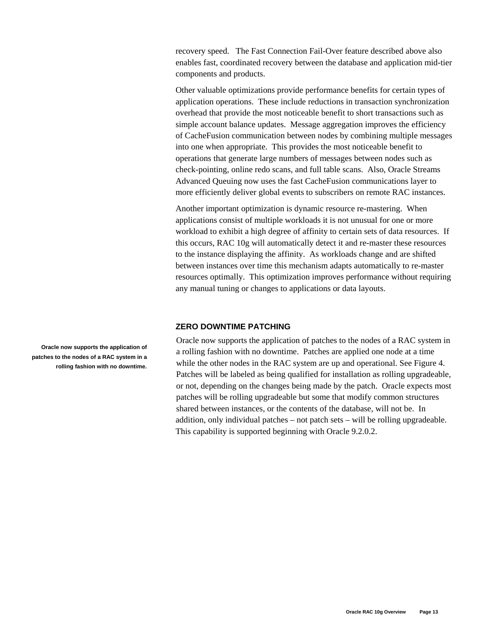recovery speed. The Fast Connection Fail-Over feature described above also enables fast, coordinated recovery between the database and application mid-tier components and products.

Other valuable optimizations provide performance benefits for certain types of application operations. These include reductions in transaction synchronization overhead that provide the most noticeable benefit to short transactions such as simple account balance updates. Message aggregation improves the efficiency of CacheFusion communication between nodes by combining multiple messages into one when appropriate. This provides the most noticeable benefit to operations that generate large numbers of messages between nodes such as check-pointing, online redo scans, and full table scans. Also, Oracle Streams Advanced Queuing now uses the fast CacheFusion communications layer to more efficiently deliver global events to subscribers on remote RAC instances.

Another important optimization is dynamic resource re-mastering. When applications consist of multiple workloads it is not unusual for one or more workload to exhibit a high degree of affinity to certain sets of data resources. If this occurs, RAC 10g will automatically detect it and re-master these resources to the instance displaying the affinity. As workloads change and are shifted between instances over time this mechanism adapts automatically to re-master resources optimally. This optimization improves performance without requiring any manual tuning or changes to applications or data layouts.

# **ZERO DOWNTIME PATCHING**

Oracle now supports the application of patches to the nodes of a RAC system in a rolling fashion with no downtime. Patches are applied one node at a time while the other nodes in the RAC system are up and operational. See Figure 4. Patches will be labeled as being qualified for installation as rolling upgradeable, or not, depending on the changes being made by the patch. Oracle expects most patches will be rolling upgradeable but some that modify common structures shared between instances, or the contents of the database, will not be. In addition, only individual patches – not patch sets – will be rolling upgradeable. This capability is supported beginning with Oracle 9.2.0.2.

**Oracle now supports the application of patches to the nodes of a RAC system in a rolling fashion with no downtime.**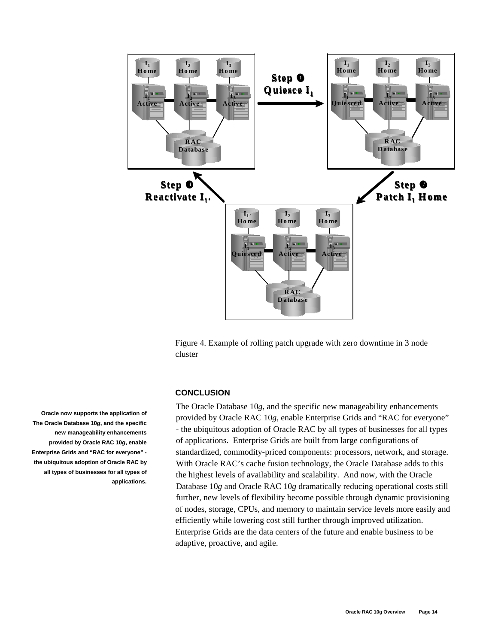

Figure 4. Example of rolling patch upgrade with zero downtime in 3 node cluster

#### **CONCLUSION**

The Oracle Database 10*g*, and the specific new manageability enhancements provided by Oracle RAC 10*g*, enable Enterprise Grids and "RAC for everyone" - the ubiquitous adoption of Oracle RAC by all types of businesses for all types of applications. Enterprise Grids are built from large configurations of standardized, commodity-priced components: processors, network, and storage. With Oracle RAC's cache fusion technology, the Oracle Database adds to this the highest levels of availability and scalability. And now, with the Oracle Database 10*g* and Oracle RAC 10*g* dramatically reducing operational costs still further, new levels of flexibility become possible through dynamic provisioning of nodes, storage, CPUs, and memory to maintain service levels more easily and efficiently while lowering cost still further through improved utilization. Enterprise Grids are the data centers of the future and enable business to be adaptive, proactive, and agile.

**Oracle now supports the application of The Oracle Database 10***g***, and the specific new manageability enhancements provided by Oracle RAC 10***g***, enable Enterprise Grids and "RAC for everyone" the ubiquitous adoption of Oracle RAC by all types of businesses for all types of applications.**